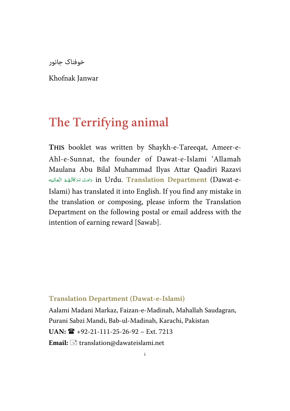خوفناک جانور

Khofnak Janwar

# **The Terrifying animal**

**THIS** booklet was written by Shaykh-e-Tareeqat, Ameer-e-Ahl-e-Sunnat, the founder of Dawat-e-Islami 'Allamah Maulana Abu Bilal Muhammad Ilyas Attar Qaadiri Razavi in Urdu. <mark>Translation Department</mark> (Dawat-e- دَامَتْ بَرَكَاتُهُمُ الْعَالِيَه -í í Í ---Islami) has translated it into English. If you find any mistake in the translation or composing, please inform the Translation Department on the following postal or email address with the intention of earning reward [Sawab].

**Translation Department (Dawat-e-Islami)** 

Aalami Madani Markaz, Faizan-e-Madinah, Mahallah Saudagran, Purani Sabzi Mandi, Bab-ul-Madinah, Karachi, Pakistan **UAN:** +92-21-111-25-26-92 – Ext. 7213 Email:  $\equiv$  translation@dawateislami.net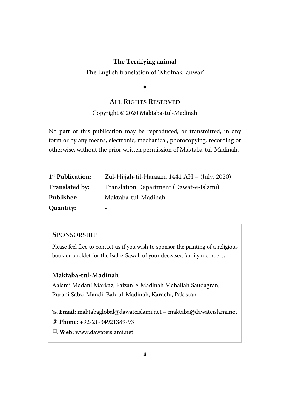#### The English translation of 'Khofnak Janwar'

# $\ddot{\phantom{0}}$

#### **ALL RIGHTS RESERVED**

Copyright © 2020 Maktaba-tul-Madinah

No part of this publication may be reproduced, or transmitted, in any form or by any means, electronic, mechanical, photocopying, recording or otherwise, without the prior written permission of Maktaba-tul-Madinah.

| 1 <sup>st</sup> Publication: | Zul-Hijjah-til-Haraam, 1441 AH – (July, 2020) |
|------------------------------|-----------------------------------------------|
| Translated by:               | Translation Department (Dawat-e-Islami)       |
| Publisher:                   | Maktaba-tul-Madinah                           |
| Quantity:                    | -                                             |

#### **SPONSORSHIP**

Please feel free to contact us if you wish to sponsor the printing of a religious book or booklet for the Isal-e-Sawab of your deceased family members.

#### **Maktaba-tul-Madinah**

Aalami Madani Markaz, Faizan-e-Madinah Mahallah Saudagran, Purani Sabzi Mandi, Bab-ul-Madinah, Karachi, Pakistan

 **Email:** maktabaglobal@dawateislami.net – maktaba@dawateislami.net

- **Phone: +**92-21-34921389-93
- **Web:** www.dawateislami.net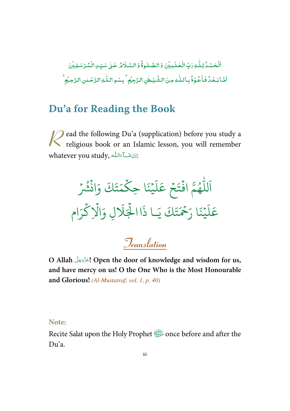-ٱلۡحَمۡـُدُۢ لِـلّٰـٰهِ رَبِّ الۡـَٰڂلَـٰـِيۡنَ وَ الصَّـٰلُـوةُۚ وَ السَّـلَامُٰـ عَـٰىٰ سَـبِّـٰ ِالۡـُمۡـُرۡسَـٰلِـيۡنَ j ֦֧ ٰ , ֦֧ -ٰ l ۡ **S** اَشَابَعُدُّ فَاََعُوْدُُ بِاللّٰهِ مِنَ الشَّيْطٰنِ الزَّجِيْمِ ۚ بِسْمِ اللّٰهِ الزَّحْلٰنِ الزَّحِيُّمِ l , ٰ --, ٰ ٰ -֘ ۡ -,

## **Du'a for Reading the Book**

ead the following Du'a (supplication) before you study a **P** ead the following Du'a (supplication) before you study a religious book or an Islamic lesson, you will remember whatever you study, اِنْ شَـَـآ بَاللّٰهِ . -ĺ ļ

 $\ddot{\phantom{0}}$ ور تَكَ وَانْشُرْ  $\ddot{\cdot}$ ت ر<br>ھ م ِ ا حك  $\frac{1}{2}$  $\ddot{\cdot}$ م<br>بينه  $\frac{1}{2}$ ر<br>آ ل  $\tilde{\epsilon}$ جُ عَ ۡ  $\frac{1}{2}$ وءَ افْتَ  $\ddot{\cdot}$ و<br>ھ ر<br>ا لل ر<br>آ ا ا .<br>تَكَ يَـا ذَ ت ِ<br>حُمَّ ح يْنَا <sub>ز</sub>َ  $\frac{1}{2}$ ر<br>آ ل  $\tilde{\epsilon}$ عَلَيْنَا رَحْمَتَكَ يَـا ذَاالْجَلَالِ وَالْإِكْرَام ہ<br>ح ہ<br>1 َ %َ ال ہ<br>ار

# **Translation**

O Allah التَّذَّذَةَ Open the door of knowledge and wisdom for us, -**and have mercy on us! O the One Who is the Most Honourable and Glorious!** *(Al-Mustatraf, vol. 1, p. 40)*

#### **Note:**

Recite Salat upon the Holy Prophet solare before and after the Du'a.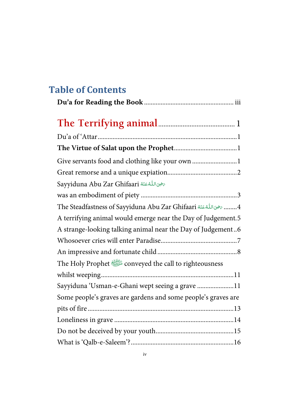# **Table of Contents**

| Give servants food and clothing like your own  1                                                      |
|-------------------------------------------------------------------------------------------------------|
|                                                                                                       |
| Sayyiduna Abu Zar Ghifaari                                                                            |
|                                                                                                       |
| The Steadfastness of Sayyiduna Abu Zar Ghifaari اللَّهُ عَنْهُ The Steadfastness of Sayyiduna Abu Zar |
| A terrifying animal would emerge near the Day of Judgement.5                                          |
| A strange-looking talking animal near the Day of Judgement6                                           |
|                                                                                                       |
|                                                                                                       |
| The Holy Prophet <all a="" righteousness<="" to=""></all>                                             |
|                                                                                                       |
| Sayyiduna 'Usman-e-Ghani wept seeing a grave 11                                                       |
| Some people's graves are gardens and some people's graves are                                         |
|                                                                                                       |
|                                                                                                       |
|                                                                                                       |
|                                                                                                       |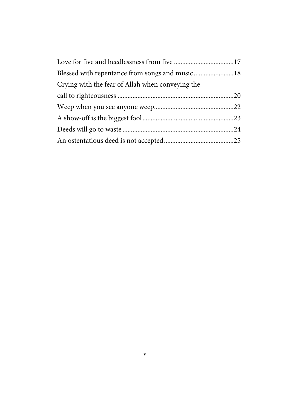| Blessed with repentance from songs and music 18  |  |
|--------------------------------------------------|--|
| Crying with the fear of Allah when conveying the |  |
|                                                  |  |
|                                                  |  |
|                                                  |  |
|                                                  |  |
|                                                  |  |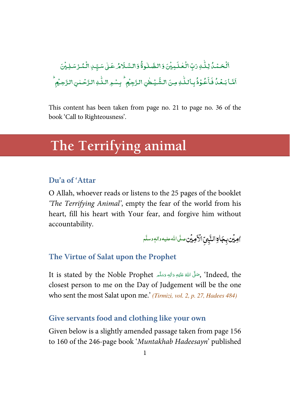#### .<br>اَلْحَمْدُ، لِـلِّـٰ وَتِّ الْعٰـلَـہِيْنَ وَ الصَّـٰلوۃُۚ وَالسَّـلَامُ عَـٰىٰ سَيِّـٰ ِالْمُـُرْسَـٰلِيْنَ ֘ ֧֘ -ٰ  $\overline{a}$ ֧֘ -ٰ ֘ ļ ់ ۡ ـ<br>يُـطْنِ الـرَّجِيُمِ ۚ بِسْـهِ الـلّٰـٰ الرَّحْـ ٰ --; ٰ عُوۡذُبِاۡلِلّٰهِ مِنَ الشَّ ٰ -֦֧֦  $\overline{\phantom{a}}$ اَشَا بَعۡدُ فَأَخُوۡذُ بِٱللّٰهِ مِنَ الشَّيۡطٰنِ الرَّجِيۡمِ ۚ بِسۡوِ اللّٰهِ الرَّحۡمٰنِ الرَّحِيۡمِ ֘ -,  $\overline{a}$

This content has been taken from page no. 21 to page no. 36 of the book 'Call to Righteousness'.

# **The Terrifying animal**

### **Du'a of 'Attar**

O Allah, whoever reads or listens to the 25 pages of the booklet *'The Terrifying Animal'*, empty the fear of the world from his heart, fill his heart with Your fear, and forgive him without accountability.

۠**امِيۡن بِجَالِآالنَّبِيِّ الْأَمِيۡنِ صَلَّى الله عليه والهٖ وسلَّم** 

#### **The Virtue of Salat upon the Prophet**

It is stated by the Noble Prophet , حَلَّى اللَّهُ عَلَيْهِ وَاللهٖ وَسَلَّم , 'Indeed, the ---Í -ć closest person to me on the Day of Judgement will be the one who sent the most Salat upon me.' *(Tirmizi, vol. 2, p. 27, Hadees 484)*

#### **Give servants food and clothing like your own**

Given below is a slightly amended passage taken from page 156 to 160 of the 246-page book '*Muntakhab Hadeesayn*' published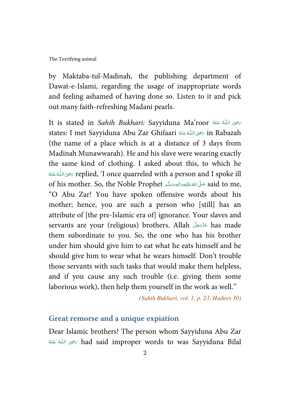by Maktaba-tul-Madinah, the publishing department of Dawat-e-Islami, regarding the usage of inappropriate words and feeling ashamed of having done so. Listen to it and pick out many faith-refreshing Madani pearls.

It is stated in *Sahih Bukhari: S*ayyiduna Ma'roor تحفِىَ اللَّهُ عَنْهُ í -states: I met Sayyiduna Abu Zar Ghifaari  % #  & ' in Rabazah í --(the name of a place which is at a distance of 3 days from Madinah Munawwarah). He and his slave were wearing exactly the same kind of clothing. I asked about this, to which he replied, 'I once quarreled with a person and I spoke ill ترهيى اللُّهْ عَنْهُ  $\overline{a}$ -ć ŕ of his mother. So, the Noble Prophet حَلَّى اللَّهُ عَلَيْهِ وَالِهٖ وَسَلَّم of his mother. So, the Noble Prophet --j -ć "O Abu Zar! You have spoken offensive words about his mother; hence, you are such a person who [still] has an attribute of [the pre-Islamic era of] ignorance. Your slaves and servants are your (religious) brothers. Allah عَزَّدَجَلَّ has made -them subordinate to you. So, the one who has his brother under him should give him to eat what he eats himself and he should give him to wear what he wears himself. Don't trouble those servants with such tasks that would make them helpless, and if you cause any such trouble (i.e. giving them some laborious work), then help them yourself in the work as well.''

*(Sahih Bukhari, vol. 1, p. 23, Hadees 30)*

#### **Great remorse and a unique expiation**

Dear Islamic brothers! The person whom Sayyiduna Abu Zar ć had said improper words to was Sayyiduna Bilal جَرْحِىَ اللَّهُ عَنْهُ ŕ --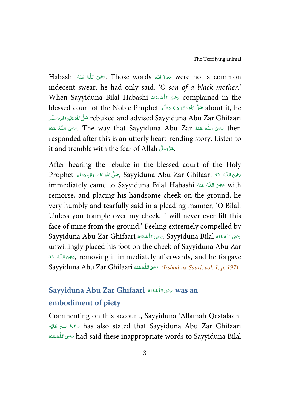Habashi سَعادَ الله Those words حَمَّاءَ الله were not a common ĺ --indecent swear, he had only said, '*O son of a black mother.*' When Sayyiduna Bilal Habashi  % #  & ' complained in the ĺ -blessed court of the Noble Prophet حَلَّى اللهُ عَلَيْهِ وَاللهِ وَسَلَّہ عَلَيْهِ وَاللهِ وَسَلَّہ م ---Í -ć تَ وَالْلِهِوَتِهَالِهِ rebuked and advised Sayyiduna Abu Zar Ghifaari --ĺ -ć ŕ خوى اللَّهُ عَنْهُ Zar مَحْوى اللَّهُ عَنْهُ The way that Sayyiduna Abu Zar مَحْوى اللَّهُ عَنْهُ Ken í --ŕ -responded after this is an utterly heart-rending story. Listen to it and tremble with the fear of Allah . عَزَّدَجَلَ --

After hearing the rebuke in the blessed court of the Holy Prophet حَلَّى اللهُ عَنْهُ Sayyiduna Abu Zar Ghifaari ,حَلَّى اللهُ عَلَيْهِ وَالِهٖ وَسَلَّم Prophet --ĺ --í -immediately came to Sayyiduna Bilal Habashi صحيىَ اللهُ عَنْهُ mmediately came to Sayyiduna Bilal Habashi ŕ -remorse, and placing his handsome cheek on the ground, he very humbly and tearfully said in a pleading manner, 'O Bilal! Unless you trample over my cheek, I will never ever lift this face of mine from the ground.' Feeling extremely compelled by Sayyiduna Bilal كَرْسِي اللَّهُ عَنْهُ Sayyiduna Bilal ,تَرْضِي اللَّهُ عَنْهُ Sayyiduna Abu Zar Ghifaari í ֦ --í  $\overline{a}$ -í unwillingly placed his foot on the cheek of Sayyiduna Abu Zar í خوى اللهُ عَنْهُ $_{\mathscr{S}}$  removing it immediately afterwards, and he forgave í --Sayyiduna Abu Zar Ghifaari  % #  & '. *(Irshad-us-Saari, vol. 1, p. 197)* ŕ  $\overline{a}$ --

#### **Sayyiduna Abu Zar Ghifaari**  % #  & ' **was an**  í  $\overline{a}$ -**embodiment of piety**

Commenting on this account, Sayyiduna 'Allamah Qastalaani خَمَّةُ اللَّٰهِ عَلَيْه $\epsilon$  has also stated that Sayyiduna Abu Zar Ghifaari ĺ -ŕ --فِيَ اللَّهُ عَنْهُ had said these inappropriate words to Sayyiduna Bilal ć ĺ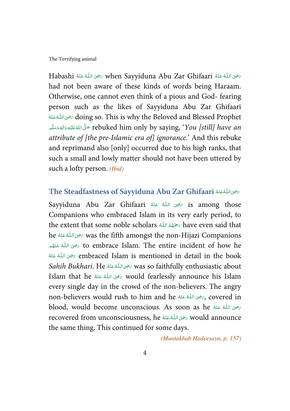Habashi رَضِى اللَّهُ عَنْهُ when Sayyiduna Abu Zar Ghifaari مَضِى اللَّهُ عَنْهُ Habashi ś --ć -had not been aware of these kinds of words being Haraam. Otherwise, one cannot even think of a pious and God- fearing person such as the likes of Sayyiduna Abu Zar Ghifaari í فيه اللَّهُ عَنْهُ doing so. This is why the Beloved and Blessed Prophet í  $\overline{a}$ -rebuked him only by saying, '*You [still] have an حَ*لَّى اللَّهَ عَلَيْهِ وَاللهِ وَسَلَّم ---Í -ć *attribute of [the pre-Islamic era of] ignorance.*' And this rebuke and reprimand also [only] occurred due to his high ranks, that such a small and lowly matter should not have been uttered by such a lofty person. *(Ibid)*

#### The Steadfastness of Sayyiduna Abu Zar Ghifaari تحيىاللُّهُ عَنْهُ The Steadfastness of Sayyiduna Abu í ֘֒ --

Sayyiduna Abu Zar Ghifaari شخص اللهُ عَنْهُ Sayyiduna Abu Zar Ghifaari ŕ --Companions who embraced Islam in its very early period, to the extent that some noble scholars   -1-' have even said that ź he  % #  & ' was the fifth amongst the non-Hijazi Companions í  $\overline{a}$ -í فِيَ اللَّهُ عَنْهُم to embrace Islam. The entire incident of how he j í -ć embraced Islam is mentioned in detail in the book رَضِىَ اللُّهُ عَنْهُ ŕ --*Sahih Bukhari*. He  % #  & ' was so faithfully enthusiastic about ĺ --Islam that he ﷺ would fearlessly announce his Islam -ś ĺ every single day in the crowd of the non-believers. The angry non-believers would rush to him and he صفحته الله عَنْهُ mon-believers would rush to him and he ŕ -blood, would become unconscious. As soon as he سَحْيَ اللَّهُ عَنْهُ blood, ŕ -recovered from unconsciousness, he رَضِى اللَّهُ عَنْهُ Would announce í -the same thing. This continued for some days.

*(Muntakhab Hadeesayn, p. 157)*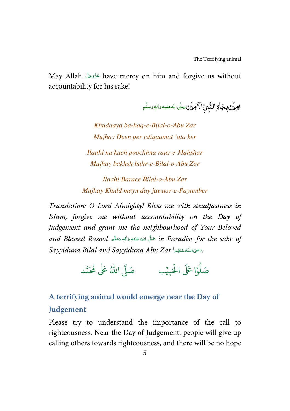May Allah عَزَّدَجَلَّ have mercy on him and forgive us without -accountability for his sake!

۠**اوبیُن بِجَاءِالنَّبِيِّ الْأَوبیُن سلَّى**الله عليه والم وسلَّم

*Khudaaya ba-haq-e-Bilal-o-Abu Zar Mujhay Deen per istiqaamat 'ata ker Ilaahi na kuch poochhna rauz-e-Mahshar Mujhay bakhsh bahr-e-Bilal-o-Abu Zar* 

*Ilaahi Baraee Bilal-o-Abu Zar Mujhay Khuld mayn day jawaar-e-Payamber* 

*Translation: O Lord Almighty! Bless me with steadfastness in Islam, forgive me without accountability on the Day of Judgement and grant me the neighbourhood of Your Beloved and Blessed Rasool حَ*لَّ اللَّهُ عَلَيْهِ وَالِهٖ وَسَلَّم and Blessed Rasool مَعْ الله عَليهِ وَاللهِ وَسَلَّم --j -ć  $S$ ayyiduna Bilal and Sayyiduna Abu Zar حَيْثَ اللَّهُ عَنْهُمْ ال  $\ddot{ }$ í  $\overline{a}$ ---

> وْا عَلَى الْحَبِيْب  $\overline{a}$ ہ<br>1. و<br>ا صَلُّوْا عَلَى الْحَبِيْبِ ۚ صَلَّى اللّٰهُ عَلٰى مُحَمَّد ٰ

#### **A terrifying animal would emerge near the Day of**

#### **Judgement**

Please try to understand the importance of the call to righteousness. Near the Day of Judgement, people will give up calling others towards righteousness, and there will be no hope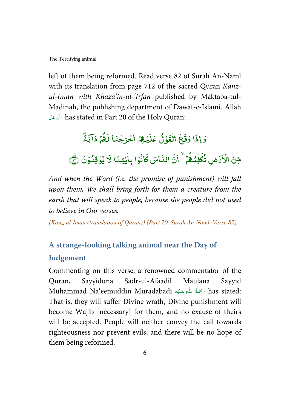left of them being reformed. Read verse 82 of Surah An-Naml with its translation from page 712 of the sacred Quran *Kanzul-Iman with Khaza'in-ul-'Irfan* published by Maktaba-tul-Madinah, the publishing department of Dawat-e-Islami. Allah - !-" -# has stated in Part 20 of the Holy Quran: --

#### ۇ  $\overline{\cdot}$ إذَا وَقَعَ ئعَ ֦ وَقَعَ الْقَوْ ֦֧ ់ و لُ عَلَيْثِمُ , ֦֧<sup>֓</sup>֓  $\overline{\cdot}$ عَلَيۡهِمۡ أَخۡرَجۡنَا ۡ ֧֘  $\overline{\mathbf{a}}$ أَخْرَجْنَا لَهُمْ , و .<br>R  $\overline{\phantom{a}}$ نَهُمْ ذَا l<br>E ؚ<br>ڹؖۮٙ مِّنَ الْأَرْضِ ֓  $\overline{\cdot}$ الْأَرْض تُكَلِّمُـُمُّ ֘ و ڸۨۨێڲ۠ -۳. ÿ J .<br>تُكَلِّمُ**؟** تع<br>ت .<br>أَنَّ النَّاسَ كَأْنُوْا J كَانُوْا بِأَيْتِنَا لَا ٰ ٰ  $\overline{\cdot}$ َلَا يُؤقِنُوْنَ ۞ ;  $\overline{a}$

*And when the Word (i.e. the promise of punishment) will fall upon them, We shall bring forth for them a creature from the earth that will speak to people, because the people did not used to believe in Our verses.* 

*[Kanz-ul-Iman (translation of Quran)] (Part 20, Surah An-Naml, Verse 82)* 

## **A strange-looking talking animal near the Day of Judgement**

Commenting on this verse, a renowned commentator of the Quran, Sayyiduna Sadr-ul-Afaadil Maulana Sayyid Muhammad Na'eemuddin Muradabadi سَحْمَةُ اللّٰهِ عَلَيْه Āas stated: Í -ĺ -That is, they will suffer Divine wrath, Divine punishment will become Wajib [necessary] for them, and no excuse of theirs will be accepted. People will neither convey the call towards righteousness nor prevent evils, and there will be no hope of them being reformed.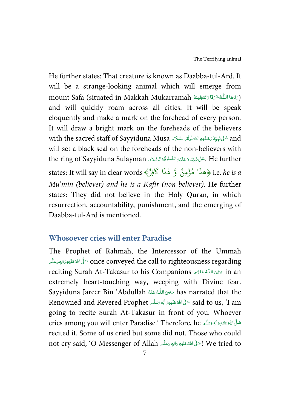He further states: That creature is known as Daabba-tul-Ard. It will be a strange-looking animal which will emerge from mount Safa (situated in Makkah Mukarramah كَاءَتَغظِيْمًا) .) -ć 4 Í ĺ ĺ and will quickly roam across all cities. It will be speak eloquently and make a mark on the forehead of every person. It will draw a bright mark on the foreheads of the believers with the sacred staff of Sayyiduna Musa عَلَىٰ يَبِيَّنَاوَعَلَيْهِ الصَّلَّوْةُ السَّلَاءَ and --ì ĺ -Ĵ -Í  $\overline{ }$ Í will set a black seal on the foreheads of the non-believers with the ring of Sayyiduna Sulayman أَعْلَى فَبِيِّنَا وَعَلَيْهِ الصَّلْوَةُوَالسَّلَامِ . He further Ű í  $\mathsf{I}$ Í --j -֦֘ states: It will say in clear words A ٌ فِر َ َا ك ذ ه و ِمنٌ ؤ َا م ذ B ه i.e. *he is a*  ہ<br>م و *Mu'min (believer) and he is a Kafir (non-believer)*. He further states: They did not believe in the Holy Quran, in which resurrection, accountability, punishment, and the emerging of Daabba-tul-Ard is mentioned.

### **Whosoever cries will enter Paradise**

The Prophet of Rahmah, the Intercessor of the Ummah once conveyed the call to righteousness regarding صَلَّى المُتَّ عَلَيْهِ وَالْهِ وَسَلَّم ---Í -ć reciting Surah At-Takasur to his Companions تحيى اللهُ عَنْهُه m an j í -extremely heart-touching way, weeping with Divine fear. Sayyiduna Jareer Bin 'Abdullah رَضِى اللَّهُ عَنْهُ has narrated that the í --Renowned and Revered Prophet حَلَّى اللَّهَ عَلَيْهِ وَاللهِ وَسَلَّم Renowned and Revered Prophet --ĺ -ć going to recite Surah At-Takasur in front of you. Whoever cries among you will enter Paradise.' Therefore, he حَلَّىَ اللَّهُ عَلَيْهِ تَالِيهِ تَسْلَّمَ ---Í -ć recited it. Some of us cried but some did not. Those who could not cry said, 'O Messenger of Allah أَصَلَّ اللَّهُ عَلَيْهِ وَاللهِ وَسَلَّم اللَّهُ اللَّهُ اللَّهُ اللَّهُ م j -ć --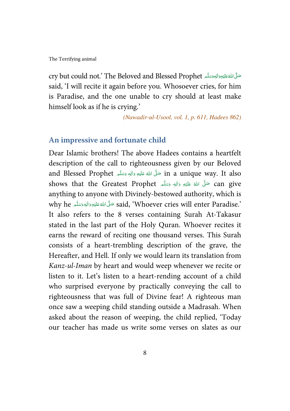cry but could not.' The Beloved and Blessed Prophet حَلَّى اللَّهُ عَلَيْهِ وَالْهِجَدَةَ لِهِ ---Í -ć said, 'I will recite it again before you. Whosoever cries, for him is Paradise, and the one unable to cry should at least make himself look as if he is crying.'

*(Nawadir-ul-Usool, vol. 1, p. 611, Hadees 862)*

### **An impressive and fortunate child**

Dear Islamic brothers! The above Hadees contains a heartfelt description of the call to righteousness given by our Beloved and Blessed Prophet حَنَّى اللَّهُ عَلَيْهِ وَاللهِ وَسَلَّم and Blessed Prophet حَمَّلُ اللَّهُ عَلَيْهِ وَاللهِ وَسَلَّم ---Í -shows that the Greatest Prophet حَلَّى الله عَلَيْهِ وَاللهِ وَسَلَّم **an** give ---Í -ć anything to anyone with Divinely-bestowed authority, which is why he حَلَّى الله عَلَيْهِ وَالِهٖ وَسَلَّم why he حَلَّى اللهُ عَلَيْهِ وَالْبَهِ وَسَلَّم why he مَسَلَّة ا --ĺ -ć It also refers to the 8 verses containing Surah At-Takasur stated in the last part of the Holy Quran. Whoever recites it earns the reward of reciting one thousand verses. This Surah consists of a heart-trembling description of the grave, the Hereafter, and Hell. If only we would learn its translation from *Kanz-ul-Iman* by heart and would weep whenever we recite or listen to it. Let's listen to a heart-rending account of a child who surprised everyone by practically conveying the call to righteousness that was full of Divine fear! A righteous man once saw a weeping child standing outside a Madrasah. When asked about the reason of weeping, the child replied, 'Today our teacher has made us write some verses on slates as our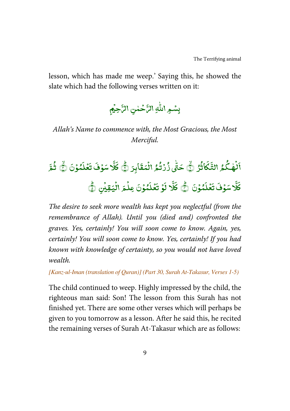lesson, which has made me weep.' Saying this, he showed the slate which had the following verses written on it:

> -بِسْمِ اللَّٰهِ الرَّحْمٰنِ الرَّجِيمِ , ۡ ٰ

*Allah's Name to commence with, the Most Gracious, the Most Merciful.* 

#### ء<br>گئر نهكا ٰ ֦֧<sup>֓</sup>֓  $\overline{\phantom{a}}$ ِ<br>اَلۡهٰکُمُ التَّكَاثُرُ ﴿  $\mathbf{y}$  $\overline{\phantom{a}}$ @ التَّكَاثُرُ ۞ حَتّٰى زُرۡتُمُ الۡمَقَابِرَ ﴿ ໍ່ ֘ ٰ ļ حَتّٰى ذُرۡتُمُ الۡمَقَابِرَ (يُّ كَلَّا سَوۡفَ تَعۡلَمُوۡنَ (يُّ  $\overline{a}$ .<br>تَعُلَ  $\overline{a}$  $\overline{\phantom{a}}$ .<br>د سَوُفَ  $\overline{a}$ ۵.<br>۱ Ë l كَلَّا سَوْفَ تَعۡلَمُوۡنَ ۞ ثُمَّ ź ر<br>لَمُؤْنَ ֦֧֦ .<br>تَعُلَ <u>ّ</u> , .<br>د سَوُفَ ֦֧֦ ی<br>۱ Ë l كَلَّا سَوْفَ تَغَلَّمُوْنَ ۞ كَلَّا لية<br>م  $\ddot{\mathbf{k}}$ J .<br>كَلَّا لَوۡ تَعۡلَمُوۡنَ ; .<br>ۇ تغذ <u>ّ</u>  $\overline{\phantom{a}}$ لَوۡ تَعۡلَمُوۡنَ عِلۡمَ الۡيَقِيۡنِ ﴾ ۡ ֦֧֦֧֦ ֦֧֦֧֦֧֦֧֦֧֦֧֦֧֦֧֦֧֦֧֦֧֦֧֦֧֦֧֦

*The desire to seek more wealth has kept you neglectful (from the remembrance of Allah). Until you (died and) confronted the graves. Yes, certainly! You will soon come to know. Again, yes, certainly! You will soon come to know. Yes, certainly! If you had known with knowledge of certainty, so you would not have loved wealth.* 

*[Kanz-ul-Iman (translation of Quran)] (Part 30, Surah At-Takasur, Verses 1-5)* 

The child continued to weep. Highly impressed by the child, the righteous man said: Son! The lesson from this Surah has not finished yet. There are some other verses which will perhaps be given to you tomorrow as a lesson. After he said this, he recited the remaining verses of Surah At-Takasur which are as follows: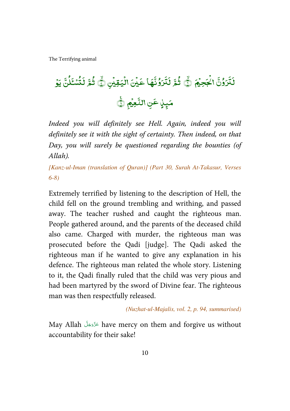( ۡ )"- c ۡ d D e f ۙ Jg N % Jۙ Y -ۡ 3- ۡ ۡ . h F e f iN ۡ I # j ۡ k % Y JK -( ۡ )- 8 -# ml n LN -

*Indeed you will definitely see Hell. Again, indeed you will definitely see it with the sight of certainty. Then indeed, on that Day, you will surely be questioned regarding the bounties (of Allah).* 

*[Kanz-ul-Iman (translation of Quran)] (Part 30, Surah At-Takasur, Verses 6-8)* 

Extremely terrified by listening to the description of Hell, the child fell on the ground trembling and writhing, and passed away. The teacher rushed and caught the righteous man. People gathered around, and the parents of the deceased child also came. Charged with murder, the righteous man was prosecuted before the Qadi [judge]. The Qadi asked the righteous man if he wanted to give any explanation in his defence. The righteous man related the whole story. Listening to it, the Qadi finally ruled that the child was very pious and had been martyred by the sword of Divine fear. The righteous man was then respectfully released.

*(Nuzhat-ul-Majalis, vol. 2, p. 94, summarised)*

May Allah عَزَّوَجَلَّ have mercy on them and forgive us without -accountability for their sake!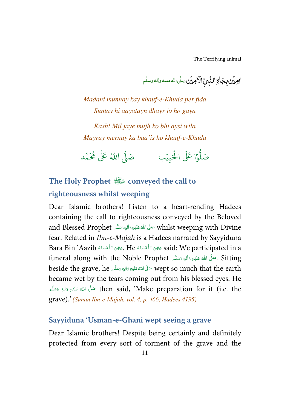۠**امِیۡن بِجَالِآالنَّبِیِّ الْاَمِیۡنِ صَلَّ**الله علیه والموسلَّم

*Madani munnay kay khauf-e-Khuda per fida Suntay hi aayatayn dhayr jo ho gaya* 

*Kash! Mil jaye mujh ko bhi aysi wila Mayray mernay ka baa'is ho khauf-e-Khuda* 

وْا عَلَى الْحَبِيْب ֘ ہ<br>أ و<br>ا صَلُّوْا عَلَى الْحَبِيْبِ ء<br>آ صَلَّى اللَّهُ عَلٰى مُحَمَّد ٰ

## **The Holy Prophet**  $\frac{2000}{200}$  conveyed the call to **righteousness whilst weeping**

Dear Islamic brothers! Listen to a heart-rending Hadees containing the call to righteousness conveyed by the Beloved and Blessed Prophet حَلَّى اللَّهَ عَلَيْهِ وَاللهِ وَسَلَّم and Blessed Prophet ĺ -ć --fear. Related in *Ibn-e-Majah* is a Hadees narrated by Sayyiduna Bara Bin 'Aazib سَحْوَى اللَّهُ عَنْهُ He ، تَحْوَى اللَّهُ عَنْهُ Bara Bin 'Aazib ، í ֘֒ --í  $\overline{a}$ -funeral along with the Noble Prophet حَلَّى اللهُ عَلَيْهِ وَالِهِ وَسَلَّم . Sitting --ĺ -beside the grave, he حَلَّىَ اللَّهُ عَلَيْهِ وَالِهٖ وَسَلَّہ beside the grave, he حَلَّى اللَّهُ عَلَيْهِ وَ --ĺ -ć became wet by the tears coming out from his blessed eyes. He فَكَّلَ اللَّهُ عَلَيْهِ وَالِهٖ وَسَلَّم then said, 'Make preparation for it (i.e. the --ĺ -ć grave).' *(Sunan Ibn-e-Majah, vol. 4, p. 466, Hadees 4195)*

### **Sayyiduna 'Usman-e-Ghani wept seeing a grave**

Dear Islamic brothers! Despite being certainly and definitely protected from every sort of torment of the grave and the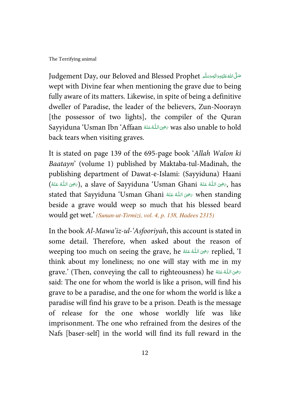Judgement Day, our Beloved and Blessed Prophet حَلَّىَ اللَّهُ عَلَيْهِ وَالْبِهِ وَسَلَّمَ --ĺ -ć wept with Divine fear when mentioning the grave due to being fully aware of its matters. Likewise, in spite of being a definitive dweller of Paradise, the leader of the believers, Zun-Noorayn [the possessor of two lights], the compiler of the Quran Sayyiduna 'Usman Ibn 'Affaan  % #  & ' was also unable to hold í ֘֒ -back tears when visiting graves.

It is stated on page 139 of the 695-page book '*Allah Walon ki Baatayn*' (volume 1) published by Maktaba-tul-Madinah, the publishing department of Dawat-e-Islami: (Sayyiduna) Haani (صَرْحَى اللَّهُ عَنْهُ Usman Ghani (صَرْحَى اللَّهُ عَنْهُ), a slave of Sayyiduna 'Usman Ghani ś --ś ś stated that Sayyiduna 'Usman Ghani  % #  & ' when standing í -beside a grave would weep so much that his blessed beard would get wet.' *(Sunan-ut-Tirmizi, vol. 4, p. 138, Hadees 2315)*

In the book *Al-Mawa'iz-ul-'Asfooriyah*, this account is stated in some detail. Therefore, when asked about the reason of weeping too much on seeing the grave, he صفوى الله عنْهُ  $\epsilon$  replied, 'I ĺ -think about my loneliness; no one will stay with me in my grave.' (Then, conveying the call to righteousness) he تَتَضِى اللَّهُ عَنْهُ De ŕ -said: The one for whom the world is like a prison, will find his grave to be a paradise, and the one for whom the world is like a paradise will find his grave to be a prison. Death is the message of release for the one whose worldly life was like imprisonment. The one who refrained from the desires of the Nafs [baser-self] in the world will find its full reward in the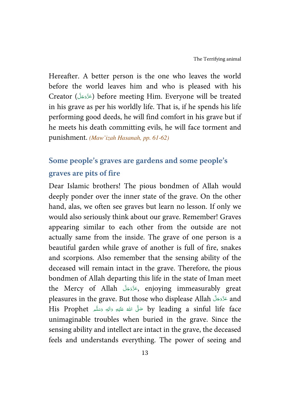Hereafter. A better person is the one who leaves the world before the world leaves him and who is pleased with his Creator (عَزَّدَجَلَّ) before meeting Him. Everyone will be treated -in his grave as per his worldly life. That is, if he spends his life performing good deeds, he will find comfort in his grave but if he meets his death committing evils, he will face torment and punishment. *(Maw'izah Hasanah, pp. 61-62)*

## **Some people's graves are gardens and some people's graves are pits of fire**

Dear Islamic brothers! The pious bondmen of Allah would deeply ponder over the inner state of the grave. On the other hand, alas, we often see graves but learn no lesson. If only we would also seriously think about our grave. Remember! Graves appearing similar to each other from the outside are not actually same from the inside. The grave of one person is a beautiful garden while grave of another is full of fire, snakes and scorpions. Also remember that the sensing ability of the deceased will remain intact in the grave. Therefore, the pious bondmen of Allah departing this life in the state of Iman meet the Mercy of Allah كَرَّدَجَلَّ, enjoying immeasurably great -pleasures in the grave. But those who displease Allah عَزَّدَجَلَّ and --His Prophet حَلَّى اللهِ عَلَيْهِ وَاللهِ وَسَلَّمَ His Prophet ---Í -unimaginable troubles when buried in the grave. Since the sensing ability and intellect are intact in the grave, the deceased feels and understands everything. The power of seeing and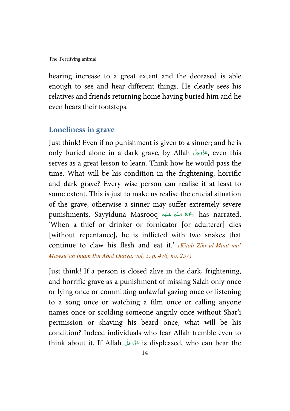hearing increase to a great extent and the deceased is able enough to see and hear different things. He clearly sees his relatives and friends returning home having buried him and he even hears their footsteps.

#### **Loneliness in grave**

Just think! Even if no punishment is given to a sinner; and he is only buried alone in a dark grave, by Allah (عَزَّدَهَا , even this -serves as a great lesson to learn. Think how he would pass the time. What will be his condition in the frightening, horrific and dark grave? Every wise person can realise it at least to some extent. This is just to make us realise the crucial situation of the grave, otherwise a sinner may suffer extremely severe punishments. Sayyiduna Masrooq حَمْدَةُ اللَّهِ عَلَيْهِ has narrated, Í ---'When a thief or drinker or fornicator [or adulterer] dies [without repentance], he is inflicted with two snakes that continue to claw his flesh and eat it.' *(Kitab Zikr-ul-Maut ma' Mawsu'ah Imam Ibn Abid Dunya, vol. 5, p. 476, no. 257)*

Just think! If a person is closed alive in the dark, frightening, and horrific grave as a punishment of missing Salah only once or lying once or committing unlawful gazing once or listening to a song once or watching a film once or calling anyone names once or scolding someone angrily once without Shar'i permission or shaving his beard once, what will be his condition? Indeed individuals who fear Allah tremble even to think about it. If Allah عَذَوَجَلَ is displeased, who can bear the --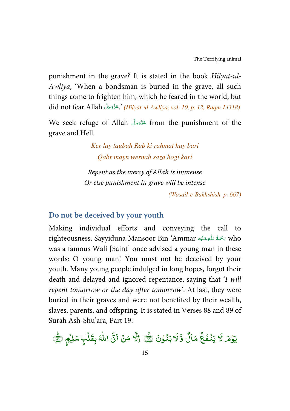punishment in the grave? It is stated in the book *Hilyat-ul-Awliya*, 'When a bondsman is buried in the grave, all such things come to frighten him, which he feared in the world, but did not fear Allah - !-" - #.' *(Hilyat-ul-Awliya, vol. 10, p. 12, Raqm 14318)* --

We seek refuge of Allah عَزَّدَجَلَ from the punishment of the -grave and Hell.

> *Ker lay taubah Rab ki rahmat hay bari Qabr mayn wernah saza hogi kari*

*Repent as the mercy of Allah is immense Or else punishment in grave will be intense* 

*(Wasail-e-Bakhshish, p. 667)*

#### **Do not be deceived by your youth**

Making individual efforts and conveying the call to righteousness, Sayyiduna Mansoor Bin 'Ammar #   0 1-' who Í -í was a famous Wali [Saint] once advised a young man in these words: O young man! You must not be deceived by your youth. Many young people indulged in long hopes, forgot their death and delayed and ignored repentance, saying that '*I will repent tomorrow or the day after tomorrow*'. At last, they were buried in their graves and were not benefited by their wealth, slaves, parents, and offspring. It is stated in Verses 88 and 89 of Surah Ash-Shu'ara, Part 19:

.<br>د بَنُوۡنَ ١ ֦֧֦  $\overline{\cdot}$ ? ة<br>و مَالٌ و ؘ<br>ۮؽؘٮ۠ڧؘػؙ ֧֦֧֓ يَوْمَر لَا يَنْفَعُ مَالٌ وَّلَا بَنُوْنَ (٢١٠) إلَّا مَنْ أَتَى اللَّهَ بِقَلْبٍ سَلِيْمٍ (٢٠ ֦֧ , ֧֘ ٰ اِلَّا مَنۡ اَتَیۡ اللّٰہَ بِقَلۡبِ سَلِیۡمٖ ۞ s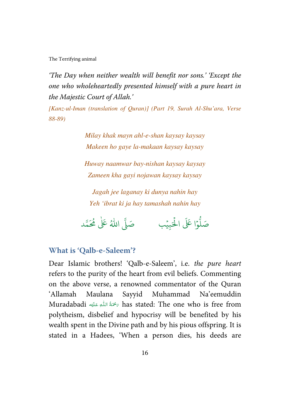*'The Day when neither wealth will benefit nor sons.' 'Except the one who wholeheartedly presented himself with a pure heart in the Majestic Court of Allah.'* 

*[Kanz-ul-Iman (translation of Quran)] (Part 19, Surah Al-Shu'ara, Verse 88-89)* 

> *Milay khak mayn ahl-e-shan kaysay kaysay Makeen ho gaye la-makaan kaysay kaysay*

> *Huway naamwar bay-nishan kaysay kaysay Zameen kha gayi nojawan kaysay kaysay*

*Jagah jee laganay ki dunya nahin hay Yeh 'ibrat ki ja hay tamashah nahin hay* 

وْا عَلَى الْحَبِيْب ֘ ہ<br>أ و<br>ا صَلُّوْا عَلَى الْحَبِيْبِ ۚ صَلَّى اللّٰهُ عَلٰى مُحَمَّد ٰ

#### **What is 'Qalb-e-Saleem'?**

Dear Islamic brothers! 'Qalb-e-Saleem', i.e. *the pure heart* refers to the purity of the heart from evil beliefs. Commenting on the above verse, a renowned commentator of the Quran 'Allamah Maulana Sayyid Muhammad Na'eemuddin Muradabadi ٱللَّهِ عَلَيْه mas stated: The one who is free from ĺ -ĺ polytheism, disbelief and hypocrisy will be benefited by his wealth spent in the Divine path and by his pious offspring. It is stated in a Hadees, 'When a person dies, his deeds are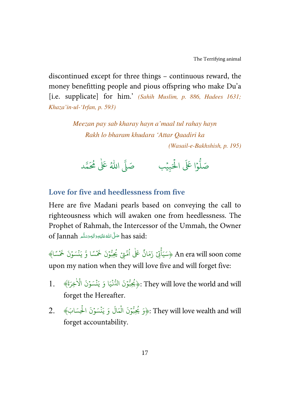discontinued except for three things – continuous reward, the money benefitting people and pious offspring who make Du'a [i.e. supplicate] for him.' *(Sahih Muslim, p. 886, Hadees 1631; Khaza'in-ul-'Irfan, p. 593)*

> *Meezan pay sab kharay hayn a'maal tul rahay hayn Rakh lo bharam khudara 'Attar Qaadiri ka (Wasail-e-Bakhshish, p. 195)*

وْا عَلَى الْحَبِيْب ֧֬<sup>֓</sup> ہ<br>أ و<br>ا صَلُّوْا عَلَى الْحَبِيْبِ ۚ صَلَّى اللَّهُ عَلَى مُحَمَّد ٰ

**Love for five and heedlessness from five** 

Here are five Madani pearls based on conveying the call to righteousness which will awaken one from heedlessness. The Prophet of Rahmah, the Intercessor of the Ummah, the Owner of Jannah صَلَّى اللَّهُ عَلَيْهِ وَالِهٖوَسَلَّمِ of Jannah --ĺ -ć

An era will soon come ﴿سَيَأْتِنْ زَمَانٌ عَلٰى اُمَّتِيْ يُحِبُّوْنَ خَمْسًا وَّ يَنْسَوْنَ خَمْسًا﴾ ֘ ؚ<br>ؙ ֦֧֦֧֦֧֦֧֦֧֦֧֦֧֦֧֦֧֦֧֦֧֦֧֦֧֦֧֦֧ ֧<sup>֓</sup>֓ ؚ<br>ؙ ُ ُ ٰ ؚ<br>په upon my nation when they will love five and will forget five:

- ﴿يُحِبُّونَ الدُّنْيَا وَ يَنْسَوْنَ الْأُخِرَةَ﴾ [ .1 ֦֧<sup>֓</sup>֧֓ ֧֘ ر<br>م They will love the world and will:﴿يُحِبُّونَ الدُّنْيَا وَ يَنْسَوْنَ الْأُخِرَةَ﴾ ֘  $\ddot{\cdot}$ forget the Hereafter.
- They will love wealth and will:﴿وَ يُحِبُّوْنَ الْمَالَ وَ يَنْسَوْنَ الْحِسَابَ﴾ 2. ہ<br>آ ؚ<br>ؙ  $\ddot{\cdot}$ ہ<br>آ ֧֘ ر<br>م forget accountability.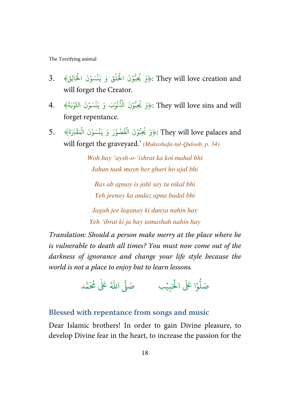- They will love creation and:﴿وَ يُحِبُّوْنَ الْحَلْقَ وَ يَنْسَوْنَ الْحَالِقَ﴾ .3. ؚ<br>أ ؚ<br>ؙ ۡ ہ<br>آ ؚ<br>أ ֘ ر<br>م will forget the Creator.
- They will love sins and will:﴿وَ يُحِبُّوْنَ الْذُّنُوْبَ وَ يَنْسَوْنَ التَّوْبَةَ﴾ 4. ؚ<br>ؙ ؚ<br>ؙ  $\ddot{\cdot}$ ֘ ُ ہ<br>آ ؚ<br>ؙ ُ forget repentance.
- They will love palaces and :﴿وَ يُحِبُّوْنَ الْفُصُوْرَ وَ يَنْسَوْنَ الْمَقْبَرَةَ﴾ 5. ֧֦֘ ֧֧֧֧֦֧֦֧֦֧֦֧֦֧֓֝֝<br>֧֜֜֜֜֜֜֜֜֜֜֜֜֞֜֜֜֞֜֜֜֞֟ ؚ<br>ؙ ់ ֘ ُ ہ<br>آ ֘ و<br>م will forget the graveyard.' *(Mukashafa-tul-Quloob, p. 34)*

*Woh hay 'aysh-o-'ishrat ka koi mahal bhi Jahan taak mayn her ghari ho ajal bhi* 

*Bas ab apnay is jahl say tu nikal bhi Yeh jeenay ka andaz apna badal bhi* 

*Jagah jee laganay ki dunya nahin hay Yeh 'ibrat ki ja hay tamashah nahin hay* 

*Translation: Should a person make merry at the place where he is vulnerable to death all times? You must now come out of the darkness of ignorance and change your life style because the world is not a place to enjoy but to learn lessons.*

وْا عَلَى الْحَبِيْب  $\overline{a}$ ہ<br>آ و<br>ا صَلُّوْا عَلَى الْحَبِيْبِ ۚ صَلَّى اللّٰهُ عَلٰى مُحَمَّد ٰ

### **Blessed with repentance from songs and music**

Dear Islamic brothers! In order to gain Divine pleasure, to develop Divine fear in the heart, to increase the passion for the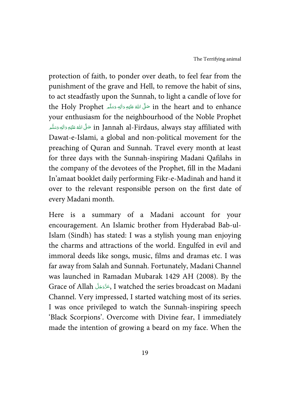protection of faith, to ponder over death, to feel fear from the punishment of the grave and Hell, to remove the habit of sins, to act steadfastly upon the Sunnah, to light a candle of love for the Holy Prophet حَلَّ اللهُ عَلَيْهِ وَالِهٖ وَسَلَّم the Holy Prophet فَلا اللهُ عَلَيْهِ وَاللهِ وَسَلَّمَ --ĺ -ć your enthusiasm for the neighbourhood of the Noble Prophet in Jannah al-Firdaus, always stay affiliated with صَلَّى اللهُ عَلَيْهِ وَالِهٖ وَسَلَّم --ĺ -ć Dawat-e-Islami, a global and non-political movement for the preaching of Quran and Sunnah. Travel every month at least for three days with the Sunnah-inspiring Madani Qafilahs in the company of the devotees of the Prophet, fill in the Madani In'amaat booklet daily performing Fikr-e-Madinah and hand it over to the relevant responsible person on the first date of every Madani month.

Here is a summary of a Madani account for your encouragement. An Islamic brother from Hyderabad Bab-ul-Islam (Sindh) has stated: I was a stylish young man enjoying the charms and attractions of the world. Engulfed in evil and immoral deeds like songs, music, films and dramas etc. I was far away from Salah and Sunnah. Fortunately, Madani Channel was launched in Ramadan Mubarak 1429 AH (2008). By the Grace of Allah (عَزَّدَجَلَّ J watched the series broadcast on Madani --Channel. Very impressed, I started watching most of its series. I was once privileged to watch the Sunnah-inspiring speech 'Black Scorpions'. Overcome with Divine fear, I immediately made the intention of growing a beard on my face. When the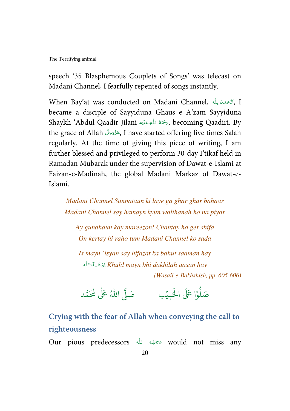speech '35 Blasphemous Couplets of Songs' was telecast on Madani Channel, I fearfully repented of songs instantly.

When Bay'at was conducted on Madani Channel, ٱلْحَمْدُ لِلّٰهِ ,I ć í -Í became a disciple of Sayyiduna Ghaus e A'zam Sayyiduna Shaykh 'Abdul Qaadir Jilani سَمَّمَةُ اللّٰهِ عَلَيْهِ Shaykh 'Abdul Qaadir Jilani ĺ --the grace of Allah - !-" - #, I have started offering five times Salah -regularly. At the time of giving this piece of writing, I am further blessed and privileged to perform 30-day I'tikaf held in Ramadan Mubarak under the supervision of Dawat-e-Islami at Faizan-e-Madinah, the global Madani Markaz of Dawat-e-Islami.

*Madani Channel Sunnataun ki laye ga ghar ghar bahaar Madani Channel say hamayn kyun walihanah ho na piyar* 

*Ay gunahaun kay mareezon! Chahtay ho ger shifa On kertay hi raho tum Madani Channel ko sada* 

*Is mayn 'isyan say hifazat ka bahut saaman hay*  Í - *Khuld mayn bhi dakhilah aasan hay*  - *(Wasail-e-Bakhshish, pp. 605-606)* 

وْا عَلَى الْحَبِيْب ֧֬<sup>֓</sup> ہ<br>أ و<br>ا صَلُّوْا عَلَى الْحَبِيْبِ ۚ صَلَّى اللَّهُ عَلَى مُحَمَّد ٰ

**Crying with the fear of Allah when conveying the call to righteousness** 

Our pious predecessors ستحقفهٔ الله  $\epsilon$  would not miss any í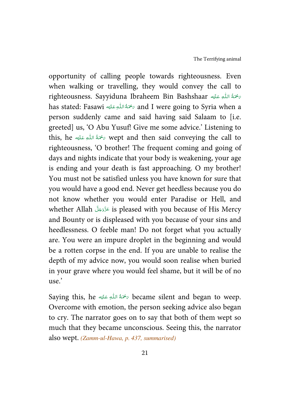opportunity of calling people towards righteousness. Even when walking or travelling, they would convey the call to righteousness. Sayyiduna Ibraheem Bin Bashshaar سَمَّةُ اللّٰهِ عَلَيْه ĺ -ŕ has stated: Fasawi سَحْمَةُ اللّٰهِ عَلَيْه أ $\sigma$  and I were going to Syria when a ŕ -Í person suddenly came and said having said Salaam to [i.e. greeted] us, 'O Abu Yusuf! Give me some advice.' Listening to this, he سَمْحَةُ اللَّهِ عَلَيْهِ this, he مَحْمَةُ اللَّهِ عَلَيْه Í -ŕ righteousness, 'O brother! The frequent coming and going of days and nights indicate that your body is weakening, your age is ending and your death is fast approaching. O my brother! You must not be satisfied unless you have known for sure that you would have a good end. Never get heedless because you do not know whether you would enter Paradise or Hell, and whether Allah عَزَّدَجَلَّ is pleased with you because of His Mercy -and Bounty or is displeased with you because of your sins and heedlessness. O feeble man! Do not forget what you actually are. You were an impure droplet in the beginning and would be a rotten corpse in the end. If you are unable to realise the depth of my advice now, you would soon realise when buried in your grave where you would feel shame, but it will be of no use.'

Saying this, he سَحْمَةُ اللَّهِ عَلَيْه $\sigma$  became silent and began to weep. Í -ŕ -Overcome with emotion, the person seeking advice also began to cry. The narrator goes on to say that both of them wept so much that they became unconscious. Seeing this, the narrator also wept. *(Zamm-ul-Hawa, p. 437, summarised)*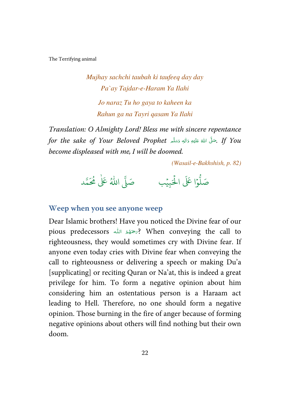*Mujhay sachchi taubah ki taufeeq day day Pa`ay Tajdar-e-Haram Ya Ilahi Jo naraz Tu ho gaya to kaheen ka Rahun ga na Tayri qasam Ya Ilahi* 

*Translation: O Almighty Lord! Bless me with sincere repentance for the sake of Your Beloved Prophet حَ*لَّى اللهُ عَلَيْهِ وَاللهٖ وَسَلَّم **f**or the sake of Your Beloved Prophet ---Í -ć *become displeased with me, I will be doomed.* 

*(Wasail-e-Bakhshish, p. 82)* 



#### **Weep when you see anyone weep**

Dear Islamic brothers! Have you noticed the Divine fear of our pious predecessors الله مستموَّة ( When conveying the call to í righteousness, they would sometimes cry with Divine fear. If anyone even today cries with Divine fear when conveying the call to righteousness or delivering a speech or making Du'a [supplicating] or reciting Quran or Na'at, this is indeed a great privilege for him. To form a negative opinion about him considering him an ostentatious person is a Haraam act leading to Hell. Therefore, no one should form a negative opinion. Those burning in the fire of anger because of forming negative opinions about others will find nothing but their own doom.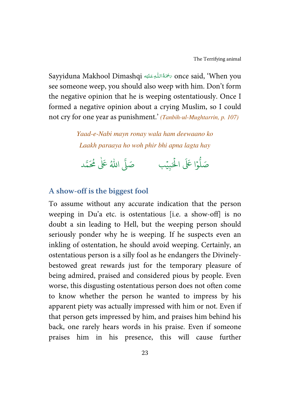Sayyiduna Makhool Dimashqi حَمَّةَاللُّهِ عَلَيْه Sayyiduna Makhool Dimashqi مَحْمَةُ اللُّهِ عَلَيْه Í --see someone weep, you should also weep with him. Don't form the negative opinion that he is weeping ostentatiously. Once I formed a negative opinion about a crying Muslim, so I could not cry for one year as punishment.' *(Tanbih-ul-Mughtarrin, p. 107)*

> *Yaad-e-Nabi mayn ronay wala ham deewaano ko Laakh paraaya ho woh phir bhi apna lagta hay*

وْا عَلَى الْحَبِيْب  $\overline{a}$ ہ<br>أ و<br>ا صَلُّوْا عَلَى الْحَبِيْبِ ۚ صَلَّى اللّٰهُ عَلٰى مُحَمَّد ٰ

### **A show-off is the biggest fool**

To assume without any accurate indication that the person weeping in Du'a etc. is ostentatious [i.e. a show-off] is no doubt a sin leading to Hell, but the weeping person should seriously ponder why he is weeping. If he suspects even an inkling of ostentation, he should avoid weeping. Certainly, an ostentatious person is a silly fool as he endangers the Divinelybestowed great rewards just for the temporary pleasure of being admired, praised and considered pious by people. Even worse, this disgusting ostentatious person does not often come to know whether the person he wanted to impress by his apparent piety was actually impressed with him or not. Even if that person gets impressed by him, and praises him behind his back, one rarely hears words in his praise. Even if someone praises him in his presence, this will cause further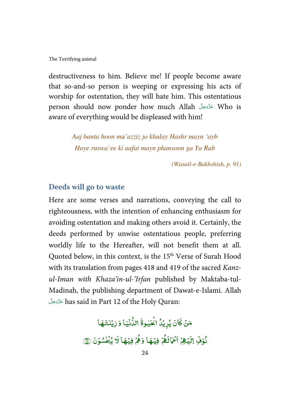destructiveness to him. Believe me! If people become aware that so-and-so person is weeping or expressing his acts of worship for ostentation, they will hate him. This ostentatious person should now ponder how much Allah عَزَّدَجَلَّ Who is -aware of everything would be displeased with him!

> *Aaj banta hoon mu'azziz jo khulay Hashr mayn 'ayb Haye ruswa`ee ki aafat mayn phansoon ga Ya Rab*

> > *(Wasail-e-Bakhshish, p. 91)*

#### **Deeds will go to waste**

Here are some verses and narrations, conveying the call to righteousness, with the intention of enhancing enthusiasm for avoiding ostentation and making others avoid it. Certainly, the deeds performed by unwise ostentatious people, preferring worldly life to the Hereafter, will not benefit them at all. Quoted below, in this context, is the 15<sup>th</sup> Verse of Surah Hood with its translation from pages 418 and 419 of the sacred *Kanzul-Iman with Khaza'in-ul-'Irfan* published by Maktaba-tul-Madinah, the publishing department of Dawat-e-Islami. Allah -قَرَّحَةَ has said in Part 12 of the Holy Quran: --

> .<br>كَانَ يُرِيْدُ الْحَيْوةَ ֓ ֓ -مَنْ كَانَ يُرِيْدُ الْحَيْوةَ الدُّنْيَا ់ اللُّأْنَيَا وَزِيْنَتَهَا ֘ -نُوَفِّ اِلَيۡهِمۡ اَعۡمَالَهُمۡ , ֓ , و .<br>أَعْمَاكَمُ فِيُهَا وَهُمْ w ់ ֓ , وَهُمۡ فِيۡهَا لَا يُخۡشُوۡنَ ۞ ֦֧<u>֦</u> ۡ ֘